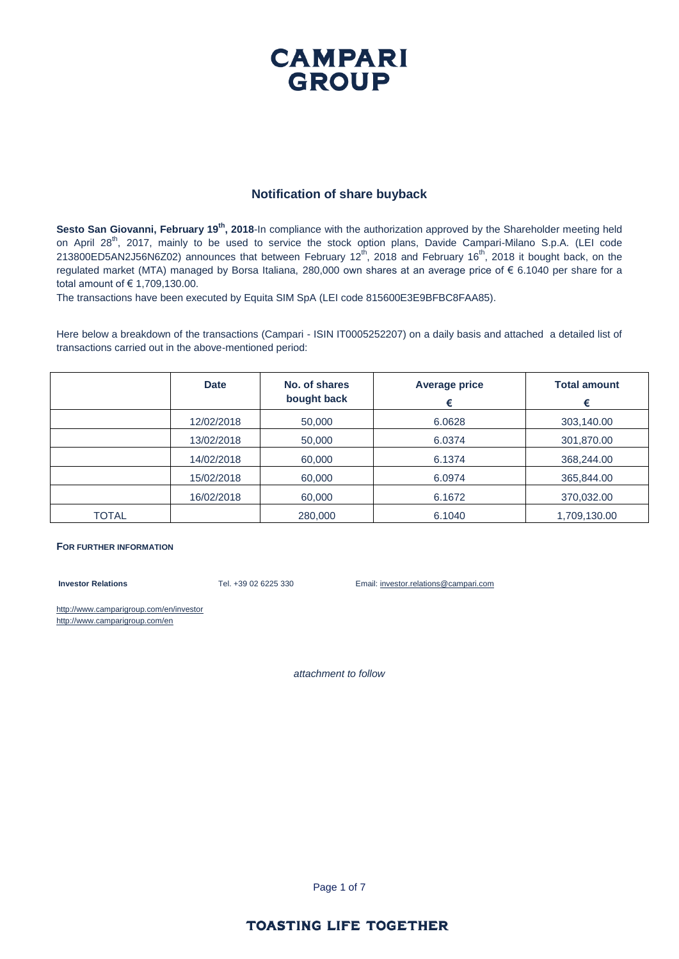### **CAMPARI GROUP**

#### **Notification of share buyback**

Sesto San Giovanni, February 19<sup>th</sup>, 2018-In compliance with the authorization approved by the Shareholder meeting held on April 28<sup>th</sup>, 2017, mainly to be used to service the stock option plans, Davide Campari-Milano S.p.A. (LEI code 213800ED5AN2J56N6Z02) announces that between February 12<sup>th</sup>, 2018 and February 16<sup>th</sup>, 2018 it bought back, on the regulated market (MTA) managed by Borsa Italiana, 280,000 own shares at an average price of € 6.1040 per share for a total amount of € 1,709,130.00.

The transactions have been executed by Equita SIM SpA (LEI code 815600E3E9BFBC8FAA85).

Here below a breakdown of the transactions (Campari - ISIN IT0005252207) on a daily basis and attached a detailed list of transactions carried out in the above-mentioned period:

|       | <b>Date</b> | No. of shares<br>bought back | <b>Average price</b><br>€ | <b>Total amount</b><br>€ |
|-------|-------------|------------------------------|---------------------------|--------------------------|
|       | 12/02/2018  | 50,000                       | 6.0628                    | 303,140.00               |
|       | 13/02/2018  | 50,000                       | 6.0374                    | 301,870.00               |
|       | 14/02/2018  | 60,000                       | 6.1374                    | 368,244.00               |
|       | 15/02/2018  | 60,000                       | 6.0974                    | 365,844.00               |
|       | 16/02/2018  | 60,000                       | 6.1672                    | 370,032.00               |
| TOTAL |             | 280,000                      | 6.1040                    | 1,709,130.00             |

#### **FOR FURTHER INFORMATION**

**Investor Relations** Tel. +39 02 6225 330 Email: investor.relations@campari.com

http://www.camparigroup.com/en/investor http://www.camparigroup.com/en

*attachment to follow*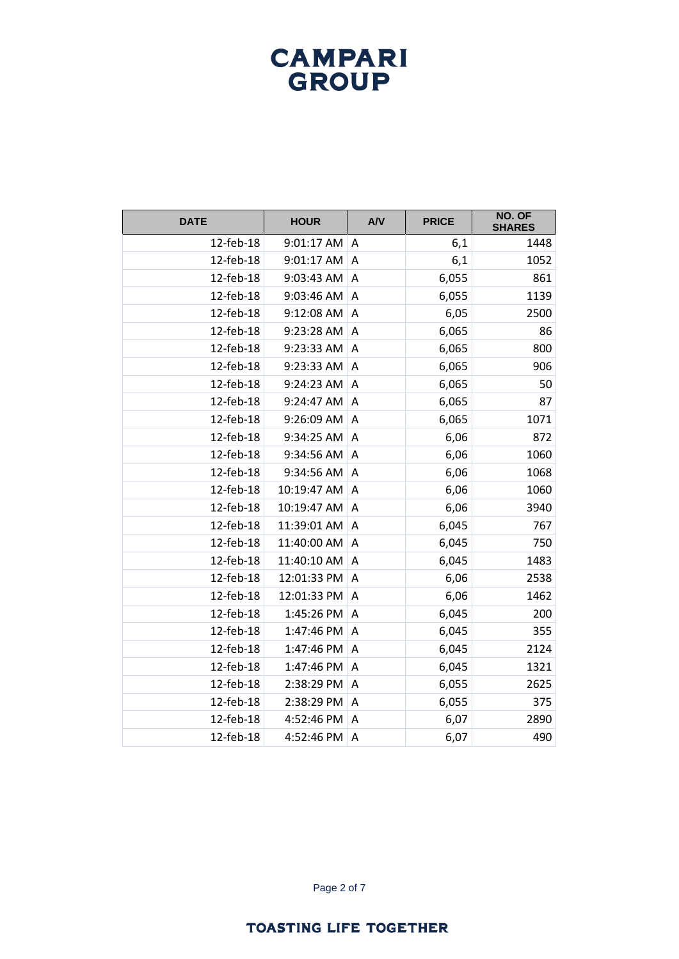| <b>DATE</b> | <b>HOUR</b> | AVV | <b>PRICE</b> | NO. OF<br><b>SHARES</b> |
|-------------|-------------|-----|--------------|-------------------------|
| 12-feb-18   | 9:01:17 AM  | A   | 6,1          | 1448                    |
| 12-feb-18   | 9:01:17 AM  | A   | 6,1          | 1052                    |
| 12-feb-18   | 9:03:43 AM  | Α   | 6,055        | 861                     |
| 12-feb-18   | 9:03:46 AM  | Α   | 6,055        | 1139                    |
| 12-feb-18   | 9:12:08 AM  | A   | 6,05         | 2500                    |
| 12-feb-18   | 9:23:28 AM  | A   | 6,065        | 86                      |
| 12-feb-18   | 9:23:33 AM  | A   | 6,065        | 800                     |
| 12-feb-18   | 9:23:33 AM  | Α   | 6,065        | 906                     |
| 12-feb-18   | 9:24:23 AM  | Α   | 6,065        | 50                      |
| 12-feb-18   | 9:24:47 AM  | Α   | 6,065        | 87                      |
| 12-feb-18   | 9:26:09 AM  | Α   | 6,065        | 1071                    |
| 12-feb-18   | 9:34:25 AM  | A   | 6,06         | 872                     |
| 12-feb-18   | 9:34:56 AM  | А   | 6,06         | 1060                    |
| 12-feb-18   | 9:34:56 AM  | Α   | 6,06         | 1068                    |
| 12-feb-18   | 10:19:47 AM | А   | 6,06         | 1060                    |
| 12-feb-18   | 10:19:47 AM | A   | 6,06         | 3940                    |
| 12-feb-18   | 11:39:01 AM | Α   | 6,045        | 767                     |
| 12-feb-18   | 11:40:00 AM | A   | 6,045        | 750                     |
| 12-feb-18   | 11:40:10 AM | Α   | 6,045        | 1483                    |
| 12-feb-18   | 12:01:33 PM | A   | 6,06         | 2538                    |
| 12-feb-18   | 12:01:33 PM | Α   | 6,06         | 1462                    |
| 12-feb-18   | 1:45:26 PM  | А   | 6,045        | 200                     |
| 12-feb-18   | 1:47:46 PM  | Α   | 6,045        | 355                     |
| 12-feb-18   | 1:47:46 PM  | Α   | 6,045        | 2124                    |
| 12-feb-18   | 1:47:46 PM  | A   | 6,045        | 1321                    |
| 12-feb-18   | 2:38:29 PM  | Α   | 6,055        | 2625                    |
| 12-feb-18   | 2:38:29 PM  | Α   | 6,055        | 375                     |
| 12-feb-18   | 4:52:46 PM  | Α   | 6,07         | 2890                    |
| 12-feb-18   | 4:52:46 PM  | A   | 6,07         | 490                     |

Page 2 of 7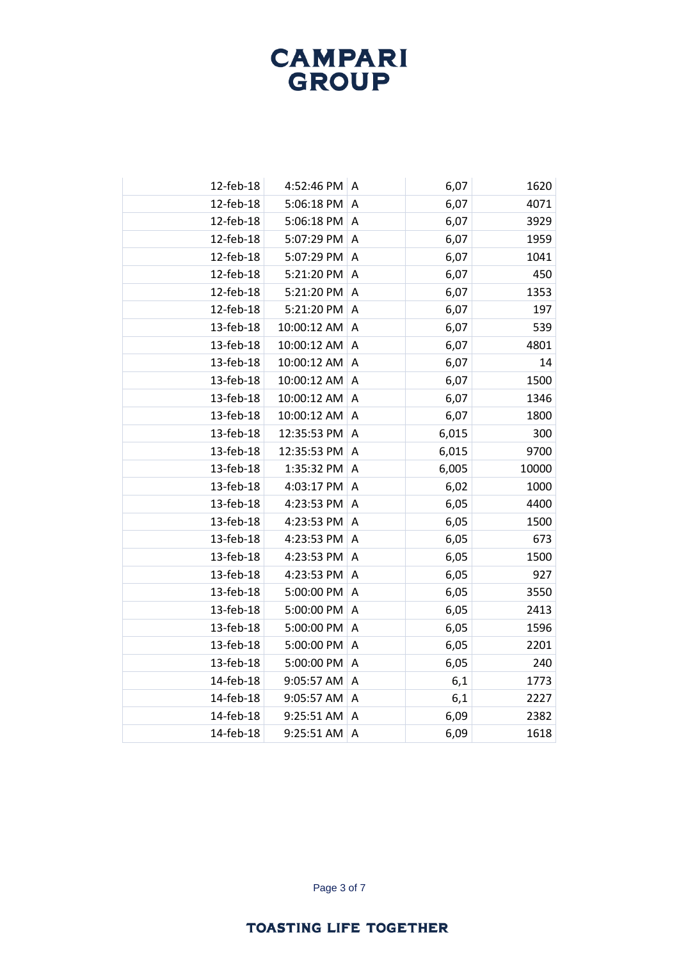| 12-feb-18 | 4:52:46 PM  | A                         | 6,07  | 1620  |
|-----------|-------------|---------------------------|-------|-------|
| 12-feb-18 | 5:06:18 PM  | A                         | 6,07  | 4071  |
| 12-feb-18 | 5:06:18 PM  | A                         | 6,07  | 3929  |
| 12-feb-18 | 5:07:29 PM  | A                         | 6,07  | 1959  |
| 12-feb-18 | 5:07:29 PM  | $\overline{A}$            | 6,07  | 1041  |
| 12-feb-18 | 5:21:20 PM  | A                         | 6,07  | 450   |
| 12-feb-18 | 5:21:20 PM  | A                         | 6,07  | 1353  |
| 12-feb-18 | 5:21:20 PM  | $\overline{A}$            | 6,07  | 197   |
| 13-feb-18 | 10:00:12 AM | A                         | 6,07  | 539   |
| 13-feb-18 | 10:00:12 AM | Α                         | 6,07  | 4801  |
| 13-feb-18 | 10:00:12 AM | A                         | 6,07  | 14    |
| 13-feb-18 | 10:00:12 AM | A                         | 6,07  | 1500  |
| 13-feb-18 | 10:00:12 AM | A                         | 6,07  | 1346  |
| 13-feb-18 | 10:00:12 AM | A                         | 6,07  | 1800  |
| 13-feb-18 | 12:35:53 PM | A                         | 6,015 | 300   |
| 13-feb-18 | 12:35:53 PM | A                         | 6,015 | 9700  |
| 13-feb-18 | 1:35:32 PM  | A                         | 6,005 | 10000 |
| 13-feb-18 | 4:03:17 PM  | $\overline{A}$            | 6,02  | 1000  |
| 13-feb-18 | 4:23:53 PM  | A                         | 6,05  | 4400  |
| 13-feb-18 | 4:23:53 PM  | A                         | 6,05  | 1500  |
| 13-feb-18 | 4:23:53 PM  | $\overline{A}$            | 6,05  | 673   |
| 13-feb-18 | 4:23:53 PM  | A                         | 6,05  | 1500  |
| 13-feb-18 | 4:23:53 PM  | A                         | 6,05  | 927   |
| 13-feb-18 | 5:00:00 PM  | $\boldsymbol{\mathsf{A}}$ | 6,05  | 3550  |
| 13-feb-18 | 5:00:00 PM  | Α                         | 6,05  | 2413  |
| 13-feb-18 | 5:00:00 PM  | A                         | 6,05  | 1596  |
| 13-feb-18 | 5:00:00 PM  | A                         | 6,05  | 2201  |
| 13-feb-18 | 5:00:00 PM  | Α                         | 6,05  | 240   |
| 14-feb-18 | 9:05:57 AM  | A                         | 6,1   | 1773  |
| 14-feb-18 | 9:05:57 AM  | A                         | 6,1   | 2227  |
| 14-feb-18 | 9:25:51 AM  | Α                         | 6,09  | 2382  |
| 14-feb-18 | 9:25:51 AM  | A                         | 6,09  | 1618  |
|           |             |                           |       |       |

Page 3 of 7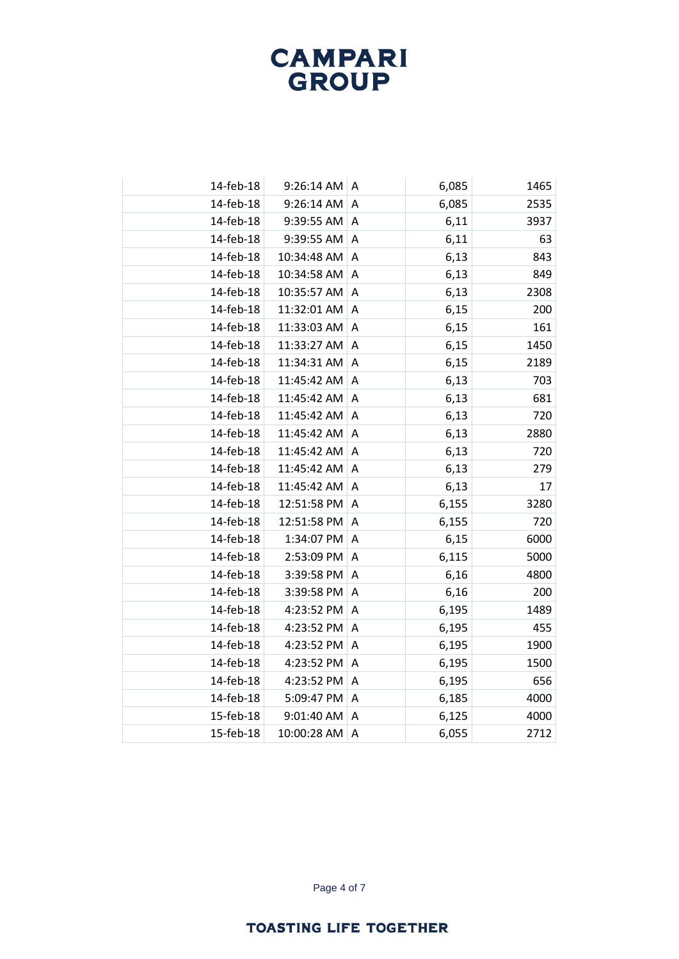| 14-feb-18 | 9:26:14 AM   A |                | 6,085 | 1465 |
|-----------|----------------|----------------|-------|------|
| 14-feb-18 | 9:26:14 AM     | A              | 6,085 | 2535 |
| 14-feb-18 | 9:39:55 AM     | Α              | 6,11  | 3937 |
| 14-feb-18 | 9:39:55 AM     | A              | 6,11  | 63   |
| 14-feb-18 | 10:34:48 AM    | A              | 6,13  | 843  |
| 14-feb-18 | 10:34:58 AM    | Α              | 6,13  | 849  |
| 14-feb-18 | 10:35:57 AM    | A              | 6,13  | 2308 |
| 14-feb-18 | 11:32:01 AM    | A              | 6,15  | 200  |
| 14-feb-18 | 11:33:03 AM    | Α              | 6,15  | 161  |
| 14-feb-18 | 11:33:27 AM    | A              | 6,15  | 1450 |
| 14-feb-18 | 11:34:31 AM    | A              | 6,15  | 2189 |
| 14-feb-18 | 11:45:42 AM    | A              | 6,13  | 703  |
| 14-feb-18 | 11:45:42 AM    | Α              | 6,13  | 681  |
| 14-feb-18 | 11:45:42 AM    | A              | 6,13  | 720  |
| 14-feb-18 | 11:45:42 AM    | A              | 6,13  | 2880 |
| 14-feb-18 | 11:45:42 AM    | Α              | 6,13  | 720  |
| 14-feb-18 | 11:45:42 AM    | Α              | 6,13  | 279  |
| 14-feb-18 | 11:45:42 AM    | A              | 6,13  | 17   |
| 14-feb-18 | 12:51:58 PM    | Α              | 6,155 | 3280 |
| 14-feb-18 | 12:51:58 PM    | A              | 6,155 | 720  |
| 14-feb-18 | 1:34:07 PM     | A              | 6,15  | 6000 |
| 14-feb-18 | 2:53:09 PM     | Α              | 6,115 | 5000 |
| 14-feb-18 | 3:39:58 PM     | A              | 6,16  | 4800 |
| 14-feb-18 | 3:39:58 PM     | A              | 6,16  | 200  |
| 14-feb-18 | 4:23:52 PM     | A              | 6,195 | 1489 |
| 14-feb-18 | 4:23:52 PM     | A              | 6,195 | 455  |
| 14-feb-18 | 4:23:52 PM     | $\overline{A}$ | 6,195 | 1900 |
| 14-feb-18 | 4:23:52 PM     | Α              | 6,195 | 1500 |
| 14-feb-18 | 4:23:52 PM     | $\overline{A}$ | 6,195 | 656  |
| 14-feb-18 | 5:09:47 PM     | $\overline{A}$ | 6,185 | 4000 |
| 15-feb-18 | 9:01:40 AM     | A              | 6,125 | 4000 |
| 15-feb-18 | 10:00:28 AM    | A              | 6,055 | 2712 |

Page 4 of 7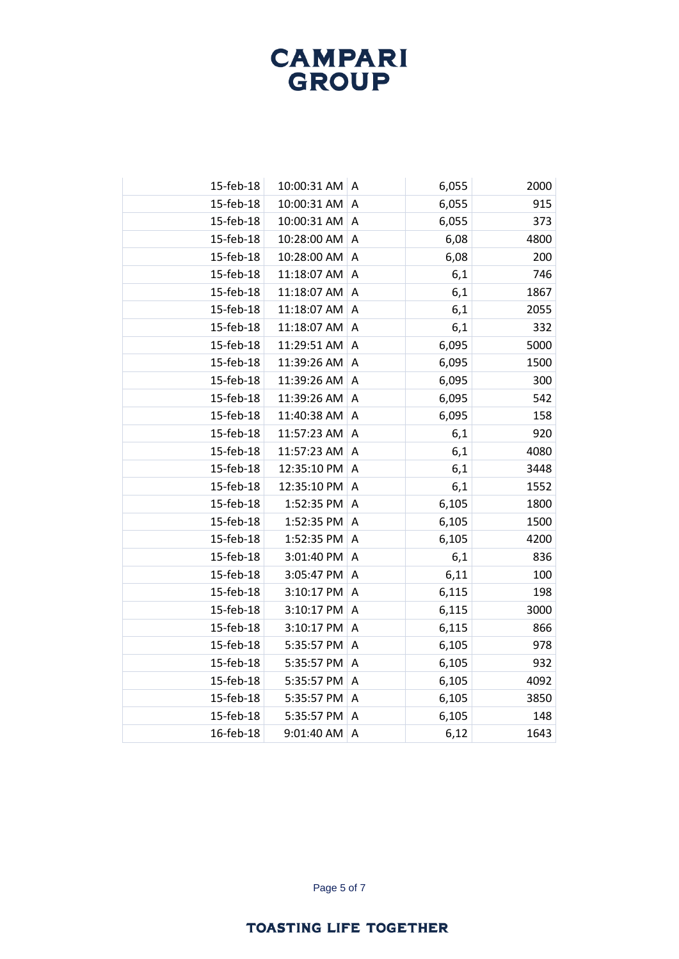| 15-feb-18 | 10:00:31 AM A |                           | 6,055 | 2000 |
|-----------|---------------|---------------------------|-------|------|
| 15-feb-18 | 10:00:31 AM   | A                         | 6,055 | 915  |
| 15-feb-18 | 10:00:31 AM   | Α                         | 6,055 | 373  |
| 15-feb-18 | 10:28:00 AM   | A                         | 6,08  | 4800 |
| 15-feb-18 | 10:28:00 AM   | A                         | 6,08  | 200  |
| 15-feb-18 | 11:18:07 AM   | $\boldsymbol{\mathsf{A}}$ | 6,1   | 746  |
| 15-feb-18 | 11:18:07 AM   | A                         | 6,1   | 1867 |
| 15-feb-18 | 11:18:07 AM   | A                         | 6,1   | 2055 |
| 15-feb-18 | 11:18:07 AM   | A                         | 6,1   | 332  |
| 15-feb-18 | 11:29:51 AM   | A                         | 6,095 | 5000 |
| 15-feb-18 | 11:39:26 AM   | $\overline{A}$            | 6,095 | 1500 |
| 15-feb-18 | 11:39:26 AM   | A                         | 6,095 | 300  |
| 15-feb-18 | 11:39:26 AM   | A                         | 6,095 | 542  |
| 15-feb-18 | 11:40:38 AM   | A                         | 6,095 | 158  |
| 15-feb-18 | 11:57:23 AM   | $\overline{A}$            | 6,1   | 920  |
| 15-feb-18 | 11:57:23 AM   | A                         | 6,1   | 4080 |
| 15-feb-18 | 12:35:10 PM   | A                         | 6,1   | 3448 |
| 15-feb-18 | 12:35:10 PM   | A                         | 6,1   | 1552 |
| 15-feb-18 | 1:52:35 PM    | A                         | 6,105 | 1800 |
| 15-feb-18 | 1:52:35 PM    | A                         | 6,105 | 1500 |
| 15-feb-18 | 1:52:35 PM    | A                         | 6,105 | 4200 |
| 15-feb-18 | 3:01:40 PM    | A                         | 6,1   | 836  |
| 15-feb-18 | 3:05:47 PM    | A                         | 6,11  | 100  |
| 15-feb-18 | 3:10:17 PM    | A                         | 6,115 | 198  |
| 15-feb-18 | 3:10:17 PM    | A                         | 6,115 | 3000 |
| 15-feb-18 | 3:10:17 PM    | A                         | 6,115 | 866  |
| 15-feb-18 | 5:35:57 PM    | A                         | 6,105 | 978  |
| 15-feb-18 | 5:35:57 PM    | A                         | 6,105 | 932  |
| 15-feb-18 | 5:35:57 PM    | A                         | 6,105 | 4092 |
| 15-feb-18 | 5:35:57 PM    | A                         | 6,105 | 3850 |
| 15-feb-18 | 5:35:57 PM    | Α                         | 6,105 | 148  |
| 16-feb-18 | 9:01:40 AM    | A                         | 6,12  | 1643 |

Page 5 of 7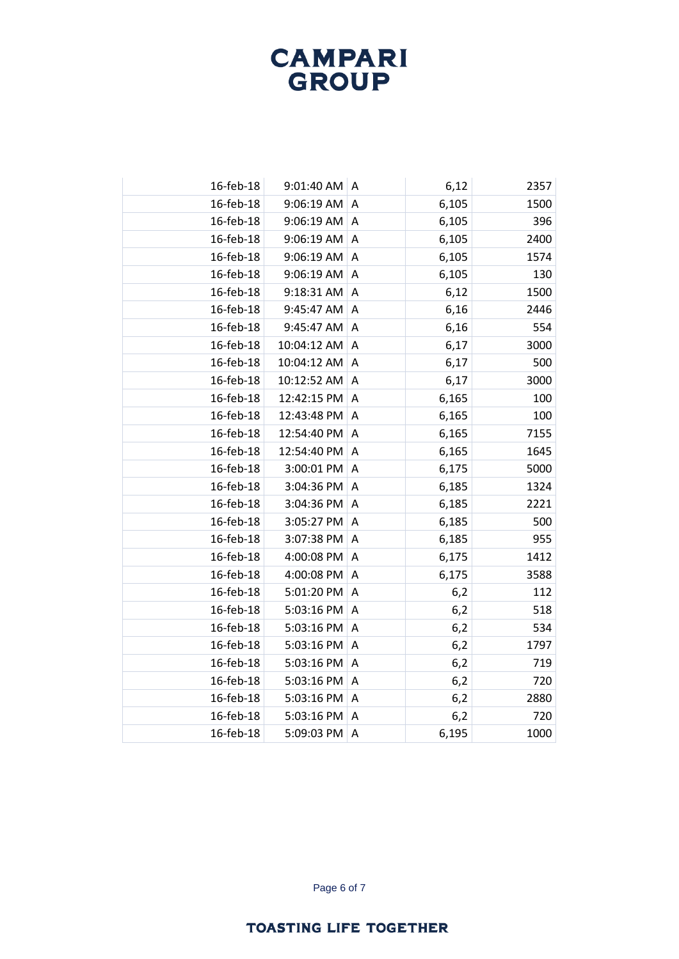| 16-feb-18 | 9:01:40 AM A |   | 6,12  | 2357 |
|-----------|--------------|---|-------|------|
| 16-feb-18 | 9:06:19 AM   | A | 6,105 | 1500 |
| 16-feb-18 | 9:06:19 AM   | A | 6,105 | 396  |
| 16-feb-18 | 9:06:19 AM   | A | 6,105 | 2400 |
| 16-feb-18 | 9:06:19 AM   | A | 6,105 | 1574 |
| 16-feb-18 | 9:06:19 AM   | Α | 6,105 | 130  |
| 16-feb-18 | 9:18:31 AM   | A | 6,12  | 1500 |
| 16-feb-18 | 9:45:47 AM   | A | 6,16  | 2446 |
| 16-feb-18 | 9:45:47 AM   | A | 6,16  | 554  |
| 16-feb-18 | 10:04:12 AM  | A | 6,17  | 3000 |
| 16-feb-18 | 10:04:12 AM  | A | 6,17  | 500  |
| 16-feb-18 | 10:12:52 AM  | A | 6,17  | 3000 |
| 16-feb-18 | 12:42:15 PM  | A | 6,165 | 100  |
| 16-feb-18 | 12:43:48 PM  | A | 6,165 | 100  |
| 16-feb-18 | 12:54:40 PM  | A | 6,165 | 7155 |
| 16-feb-18 | 12:54:40 PM  | A | 6,165 | 1645 |
| 16-feb-18 | 3:00:01 PM   | A | 6,175 | 5000 |
| 16-feb-18 | 3:04:36 PM   | A | 6,185 | 1324 |
| 16-feb-18 | 3:04:36 PM   | A | 6,185 | 2221 |
| 16-feb-18 | 3:05:27 PM   | Α | 6,185 | 500  |
| 16-feb-18 | 3:07:38 PM   | A | 6,185 | 955  |
| 16-feb-18 | 4:00:08 PM   | A | 6,175 | 1412 |
| 16-feb-18 | 4:00:08 PM   | A | 6,175 | 3588 |
| 16-feb-18 | 5:01:20 PM   | A | 6,2   | 112  |
| 16-feb-18 | 5:03:16 PM   | A | 6,2   | 518  |
| 16-feb-18 | 5:03:16 PM   | A | 6,2   | 534  |
| 16-feb-18 | 5:03:16 PM   | Α | 6,2   | 1797 |
| 16-feb-18 | 5:03:16 PM   | A | 6,2   | 719  |
| 16-feb-18 | 5:03:16 PM   | Α | 6,2   | 720  |
| 16-feb-18 | 5:03:16 PM   | A | 6,2   | 2880 |
| 16-feb-18 | 5:03:16 PM   | Α | 6,2   | 720  |
| 16-feb-18 | 5:09:03 PM   | A | 6,195 | 1000 |
|           |              |   |       |      |

Page 6 of 7